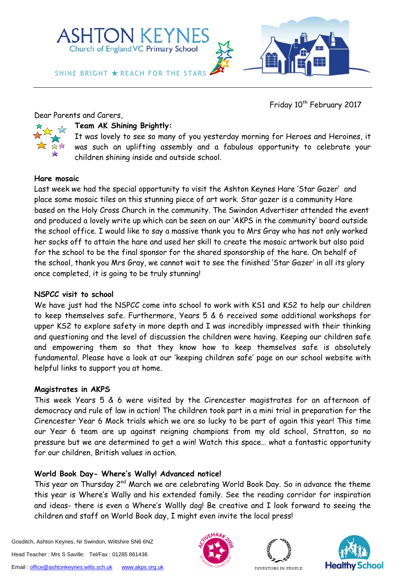

Friday 10<sup>th</sup> February 2017

Dear Parents and Carers,



# **Team AK Shining Brightly:**

It was lovely to see so many of you yesterday morning for Heroes and Heroines, it was such an uplifting assembly and a fabulous opportunity to celebrate your children shining inside and outside school.

## **Hare mosaic**

Last week we had the special opportunity to visit the Ashton Keynes Hare 'Star Gazer' and place some mosaic tiles on this stunning piece of art work. Star gazer is a community Hare based on the Holy Cross Church in the community. The Swindon Advertiser attended the event and produced a lovely write up which can be seen on our 'AKPS in the community' board outside the school office. I would like to say a massive thank you to Mrs Gray who has not only worked her socks off to attain the hare and used her skill to create the mosaic artwork but also paid for the school to be the final sponsor for the shared sponsorship of the hare. On behalf of the school, thank you Mrs Gray, we cannot wait to see the finished 'Star Gazer' in all its glory once completed, it is going to be truly stunning!

## **NSPCC visit to school**

We have just had the NSPCC come into school to work with KS1 and KS2 to help our children to keep themselves safe. Furthermore, Years 5 & 6 received some additional workshops for upper KS2 to explore safety in more depth and I was incredibly impressed with their thinking and questioning and the level of discussion the children were having. Keeping our children safe and empowering them so that they know how to keep themselves safe is absolutely fundamental. Please have a look at our 'keeping children safe' page on our school website with helpful links to support you at home.

## **Magistrates in AKPS**

This week Years 5 & 6 were visited by the Cirencester magistrates for an afternoon of democracy and rule of law in action! The children took part in a mini trial in preparation for the Cirencester Year 6 Mock trials which we are so lucky to be part of again this year! This time our Year 6 team are up against reigning champions from my old school, Stratton, so no pressure but we are determined to get a win! Watch this space… what a fantastic opportunity for our children, British values in action.

## **World Book Day- Where's Wally! Advanced notice!**

This year on Thursday 2<sup>nd</sup> March we are celebrating World Book Day. So in advance the theme this year is Where's Wally and his extended family. See the reading corridor for inspiration and ideas- there is even a Where's Wallly dog! Be creative and I look forward to seeing the children and staff on World Book day, I might even invite the local press!

Gosditch, Ashton Keynes, Nr Swindon, Wiltshire SN6 6NZ Head Teacher : Mrs S Saville: Tel/Fax : 01285 861436 Email[: office@ashtonkeynes.wilts.sch.uk](mailto:office@ashtonkeynes.wilts.sch.uk) [www.akps.org.uk](http://www.akps.org.uk/)





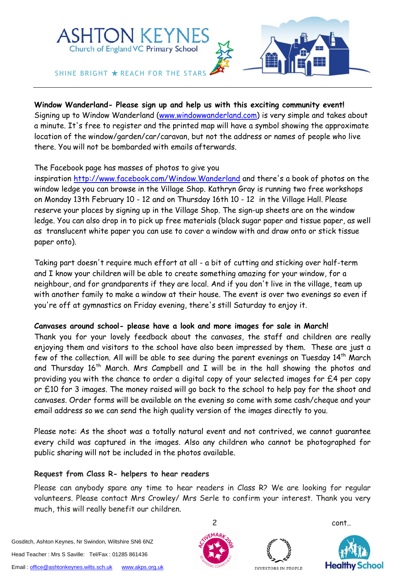

## **Window Wanderland- Please sign up and help us with this exciting community event!** Signing up to Window Wanderland [\(www.windowwanderland.com\)](http://www.windowanderland.com/) is very simple and takes about a minute. It's free to register and the printed map will have a symbol showing the approximate location of the window/garden/car/caravan, but not the address or names of people who live there. You will not be bombarded with emails afterwards.

The Facebook page has masses of photos to give you

inspiration <http://www.facebook.com/Window.Wanderland> and there's a book of photos on the window ledge you can browse in the Village Shop. Kathryn Gray is running two free workshops on Monday 13th February 10 - 12 and on Thursday 16th 10 - 12 in the Village Hall. Please reserve your places by signing up in the Village Shop. The sign-up sheets are on the window ledge. You can also drop in to pick up free materials (black sugar paper and tissue paper, as well as translucent white paper you can use to cover a window with and draw onto or stick tissue paper onto).

Taking part doesn't require much effort at all - a bit of cutting and sticking over half-term and I know your children will be able to create something amazing for your window, for a neighbour, and for grandparents if they are local. And if you don't live in the village, team up with another family to make a window at their house. The event is over two evenings so even if you're off at gymnastics on Friday evening, there's still Saturday to enjoy it.

## **Canvases around school- please have a look and more images for sale in March!**

Thank you for your lovely feedback about the canvases, the staff and children are really enjoying them and visitors to the school have also been impressed by them. These are just a few of the collection. All will be able to see during the parent evenings on Tuesday 14<sup>th</sup> March and Thursday  $16<sup>th</sup>$  March. Mrs Campbell and I will be in the hall showing the photos and providing you with the chance to order a digital copy of your selected images for £4 per copy or £10 for 3 images. The money raised will go back to the school to help pay for the shoot and canvases. Order forms will be available on the evening so come with some cash/cheque and your email address so we can send the high quality version of the images directly to you.

Please note: As the shoot was a totally natural event and not contrived, we cannot guarantee every child was captured in the images. Also any children who cannot be photographed for public sharing will not be included in the photos available.

## **Request from Class R- helpers to hear readers**

Please can anybody spare any time to hear readers in Class R? We are looking for regular volunteers. Please contact Mrs Crowley/ Mrs Serle to confirm your interest. Thank you very much, this will really benefit our children.

Gosditch, Ashton Keynes, Nr Swindon, Wiltshire SN6 6NZ Head Teacher : Mrs S Saville: Tel/Fax : 01285 861436 Email[: office@ashtonkeynes.wilts.sch.uk](mailto:office@ashtonkeynes.wilts.sch.uk) [www.akps.org.uk](http://www.akps.org.uk/)





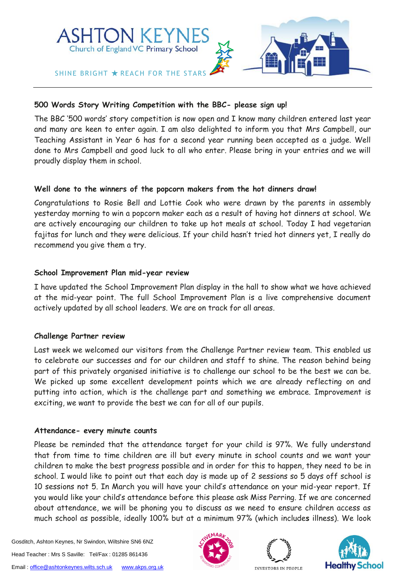

### **500 Words Story Writing Competition with the BBC- please sign up!**

The BBC '500 words' story competition is now open and I know many children entered last year and many are keen to enter again. I am also delighted to inform you that Mrs Campbell, our Teaching Assistant in Year 6 has for a second year running been accepted as a judge. Well done to Mrs Campbell and good luck to all who enter. Please bring in your entries and we will proudly display them in school.

#### **Well done to the winners of the popcorn makers from the hot dinners draw!**

Congratulations to Rosie Bell and Lottie Cook who were drawn by the parents in assembly yesterday morning to win a popcorn maker each as a result of having hot dinners at school. We are actively encouraging our children to take up hot meals at school. Today I had vegetarian fajitas for lunch and they were delicious. If your child hasn't tried hot dinners yet, I really do recommend you give them a try.

#### **School Improvement Plan mid-year review**

I have updated the School Improvement Plan display in the hall to show what we have achieved at the mid-year point. The full School Improvement Plan is a live comprehensive document actively updated by all school leaders. We are on track for all areas.

#### **Challenge Partner review**

Last week we welcomed our visitors from the Challenge Partner review team. This enabled us to celebrate our successes and for our children and staff to shine. The reason behind being part of this privately organised initiative is to challenge our school to be the best we can be. We picked up some excellent development points which we are already reflecting on and putting into action, which is the challenge part and something we embrace. Improvement is exciting, we want to provide the best we can for all of our pupils.

#### **Attendance- every minute counts**

Please be reminded that the attendance target for your child is 97%. We fully understand that from time to time children are ill but every minute in school counts and we want your children to make the best progress possible and in order for this to happen, they need to be in school. I would like to point out that each day is made up of 2 sessions so 5 days off school is 10 sessions not 5. In March you will have your child's attendance on your mid-year report. If you would like your child's attendance before this please ask Miss Perring. If we are concerned about attendance, we will be phoning you to discuss as we need to ensure children access as much school as possible, ideally 100% but at a minimum 97% (which include**s** illness). We look





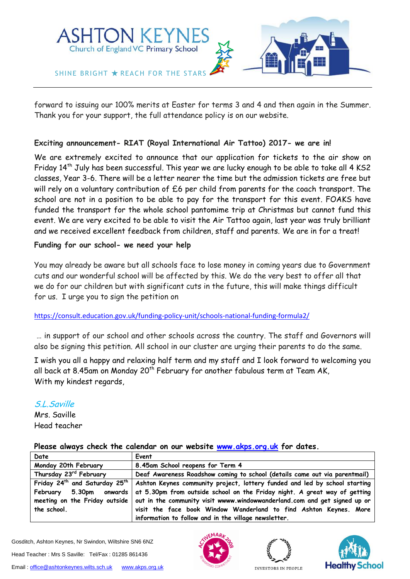

forward to issuing our 100% merits at Easter for terms 3 and 4 and then again in the Summer. Thank you for your support, the full attendance policy is on our website.

## **Exciting announcement- RIAT (Royal International Air Tattoo) 2017- we are in!**

We are extremely excited to announce that our application for tickets to the air show on Friday 14<sup>th</sup> July has been successful. This year we are lucky enough to be able to take all 4 KS2 classes, Year 3-6. There will be a letter nearer the time but the admission tickets are free but will rely on a voluntary contribution of £6 per child from parents for the coach transport. The school are not in a position to be able to pay for the transport for this event. FOAKS have funded the transport for the whole school pantomime trip at Christmas but cannot fund this event. We are very excited to be able to visit the Air Tattoo again, last year was truly brilliant and we received excellent feedback from children, staff and parents. We are in for a treat!

## **Funding for our school- we need your help**

You may already be aware but all schools face to lose money in coming years due to Government cuts and our wonderful school will be affected by this. We do the very best to offer all that we do for our children but with significant cuts in the future, this will make things difficult for us. I urge you to sign the petition on

## <https://consult.education.gov.uk/funding-policy-unit/schools-national-funding-formula2/>

… in support of our school and other schools across the country. The staff and Governors will also be signing this petition. All school in our cluster are urging their parents to do the same.

I wish you all a happy and relaxing half term and my staff and I look forward to welcoming you all back at 8.45am on Monday 20<sup>th</sup> February for another fabulous term at Team AK, With my kindest regards,

## S.L.Saville

Mrs. Saville Head teacher

| Please always check the calendar on our website www.akps.org.uk for dates. |  |  |  |
|----------------------------------------------------------------------------|--|--|--|
|----------------------------------------------------------------------------|--|--|--|

| Date                   | Event                                                                                                                              |  |
|------------------------|------------------------------------------------------------------------------------------------------------------------------------|--|
| Monday 20th February   | 8.45am School reopens for Term 4                                                                                                   |  |
| Thursday 23rd February | Deaf Awareness Roadshow coming to school (details came out via parentmail)                                                         |  |
|                        | Friday 24 <sup>th</sup> and Saturday 25 <sup>th</sup>   Ashton Keynes community project, lottery funded and led by school starting |  |
|                        | February 5.30pm onwards at 5.30pm from outside school on the Friday night. A great way of getting                                  |  |
|                        | meeting on the Friday outside   out in the community visit wwww.windowwanderland.com and get signed up or                          |  |
| the school.            | visit the face book Window Wanderland to find Ashton Keynes. More                                                                  |  |
|                        | information to follow and in the village newsletter.                                                                               |  |

Gosditch, Ashton Keynes, Nr Swindon, Wiltshire SN6 6NZ Head Teacher : Mrs S Saville: Tel/Fax : 01285 861436